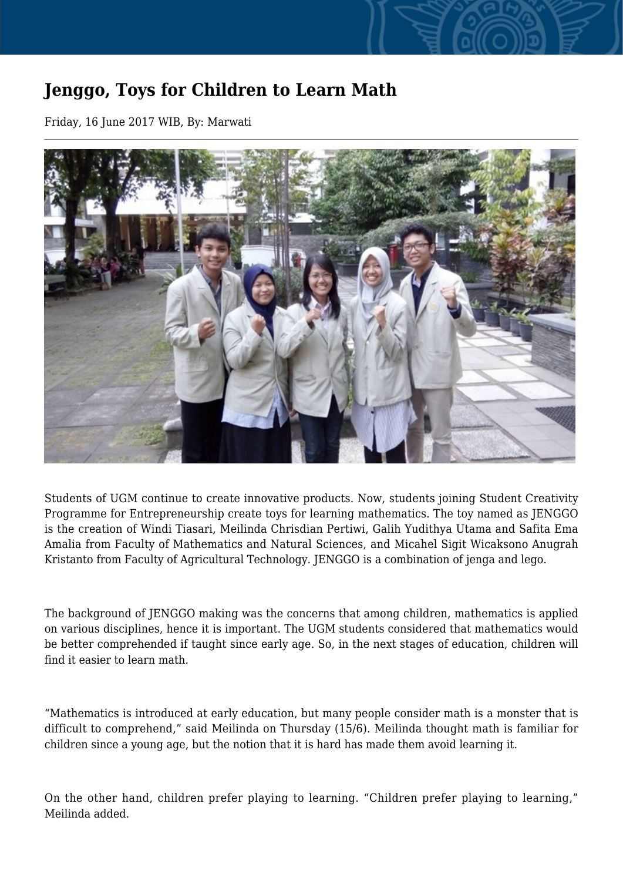## **Jenggo, Toys for Children to Learn Math**

Friday, 16 June 2017 WIB, By: Marwati



Students of UGM continue to create innovative products. Now, students joining Student Creativity Programme for Entrepreneurship create toys for learning mathematics. The toy named as JENGGO is the creation of Windi Tiasari, Meilinda Chrisdian Pertiwi, Galih Yudithya Utama and Safita Ema Amalia from Faculty of Mathematics and Natural Sciences, and Micahel Sigit Wicaksono Anugrah Kristanto from Faculty of Agricultural Technology. JENGGO is a combination of jenga and lego.

The background of JENGGO making was the concerns that among children, mathematics is applied on various disciplines, hence it is important. The UGM students considered that mathematics would be better comprehended if taught since early age. So, in the next stages of education, children will find it easier to learn math.

"Mathematics is introduced at early education, but many people consider math is a monster that is difficult to comprehend," said Meilinda on Thursday (15/6). Meilinda thought math is familiar for children since a young age, but the notion that it is hard has made them avoid learning it.

On the other hand, children prefer playing to learning. "Children prefer playing to learning," Meilinda added.